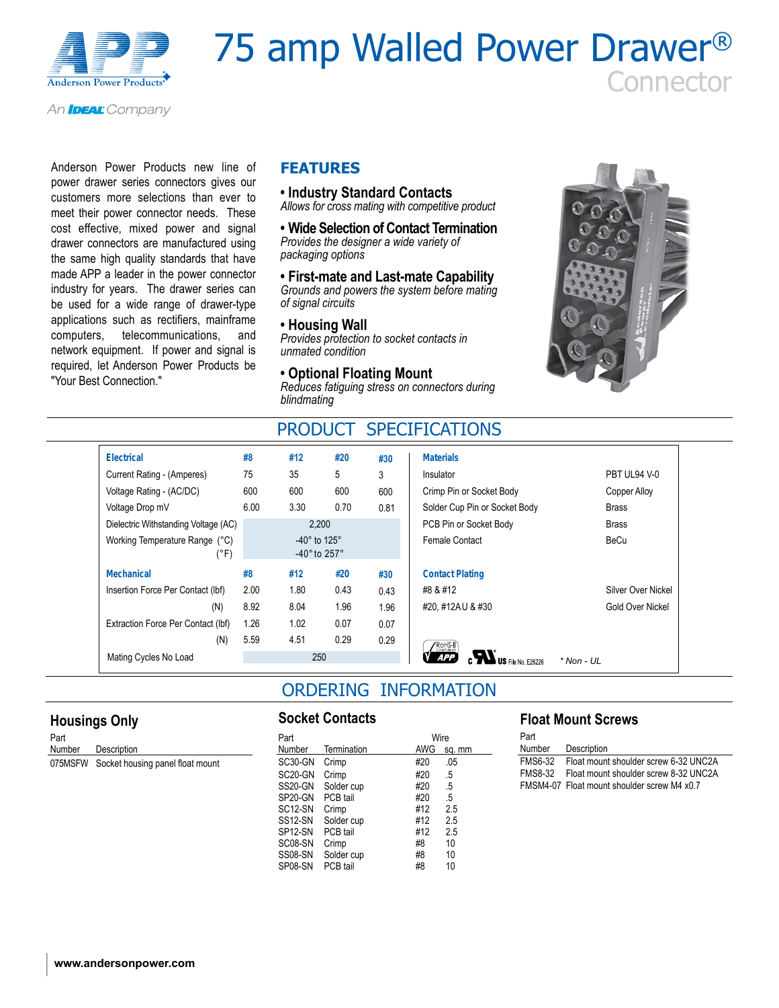

# 75 amp Walled Power Drawer® **Connector**

An **IDEAL** Company

Anderson Power Products new line of power drawer series connectors gives our customers more selections than ever to meet their power connector needs. These cost effective, mixed power and signal drawer connectors are manufactured using the same high quality standards that have made APP a leader in the power connector industry for years. The drawer series can be used for a wide range of drawer-type applications such as rectifiers, mainframe computers, telecommunications, and network equipment. If power and signal is required, let Anderson Power Products be "Your Best Connection."

### **FEATURES**

**• Industry Standard Contacts** *Allows for cross mating with competitive product*

**• Wide Selection of Contact Termination** *Provides the designer a wide variety of* 

*packaging options*

**• First-mate and Last-mate Capability** *Grounds and powers the system before mating of signal circuits*

#### **• Housing Wall**

*Provides protection to socket contacts in unmated condition*

**• Optional Floating Mount** *Reduces fatiguing stress on connectors during blindmating*



## PRODUCT SPECIFICATIONS

| <b>Electrical</b>                      | #8   | #12                                                                  | #20  | #30  | <b>Materials</b>                        |                    |
|----------------------------------------|------|----------------------------------------------------------------------|------|------|-----------------------------------------|--------------------|
| Current Rating - (Amperes)             | 75   | 35                                                                   | 5    | 3    | Insulator                               | PBT UL94 V-0       |
| Voltage Rating - (AC/DC)               | 600  | 600                                                                  | 600  | 600  | Crimp Pin or Socket Body                | Copper Alloy       |
| Voltage Drop mV                        | 6.00 | 3.30                                                                 | 0.70 | 0.81 | Solder Cup Pin or Socket Body           | <b>Brass</b>       |
| Dielectric Withstanding Voltage (AC)   |      | 2,200                                                                |      |      | PCB Pin or Socket Body                  | <b>Brass</b>       |
| Working Temperature Range (°C)<br>(°F) |      | -40 $^{\circ}$ to 125 $^{\circ}$<br>-40 $^{\circ}$ to 257 $^{\circ}$ |      |      | Female Contact                          | BeCu               |
| <b>Mechanical</b>                      | #8   | #12                                                                  | #20  | #30  | <b>Contact Plating</b>                  |                    |
| Insertion Force Per Contact (Ibf)      | 2.00 | 1.80                                                                 | 0.43 | 0.43 | #8 & #12                                | Silver Over Nickel |
| (N)                                    | 8.92 | 8.04                                                                 | 1.96 | 1.96 | #20, #12AU & #30                        | Gold Over Nickel   |
| Extraction Force Per Contact (Ibf)     | 1.26 | 1.02                                                                 | 0.07 | 0.07 |                                         |                    |
| (N)                                    | 5.59 | 4.51                                                                 | 0.29 | 0.29 | $\sqrt{\text{ROHS-II}}$                 |                    |
| Mating Cycles No Load                  |      | 250                                                                  |      |      | <b>APP</b><br><b>US</b> File No. F26226 | $*$ Non - UL       |

## ORDERING INFORMATION

#### **Housings Only**

Part Number Description 075MSFW Socket housing panel float mount

#### **Socket Contacts**

| Part                 |             |            | Wire   |
|----------------------|-------------|------------|--------|
| Number               | Termination | <b>AWG</b> | sq. mm |
| SC30-GN              | Crimp       | #20        | .05    |
| SC20-GN              | Crimp       | #20        | .5     |
| SS20-GN              | Solder cup  | #20        | .5     |
| SP20-GN              | PCB tail    | #20        | .5     |
| SC <sub>12</sub> -SN | Crimp       | #12        | 2.5    |
| SS12-SN              | Solder cup  | #12        | 2.5    |
| SP <sub>12</sub> -SN | PCB tail    | #12        | 2.5    |
| SC08-SN              | Crimp       | #8         | 10     |
| SS08-SN              | Solder cup  | #8         | 10     |
| SP08-SN              | PCB tail    | #8         | 10     |

#### **Float Mount Screws**

| Part           |                                             |
|----------------|---------------------------------------------|
| Number         | Description                                 |
| FMS6-32        | Float mount shoulder screw 6-32 UNC2A       |
| <b>FMS8-32</b> | Float mount shoulder screw 8-32 UNC2A       |
|                | FMSM4-07 Float mount shoulder screw M4 x0.7 |